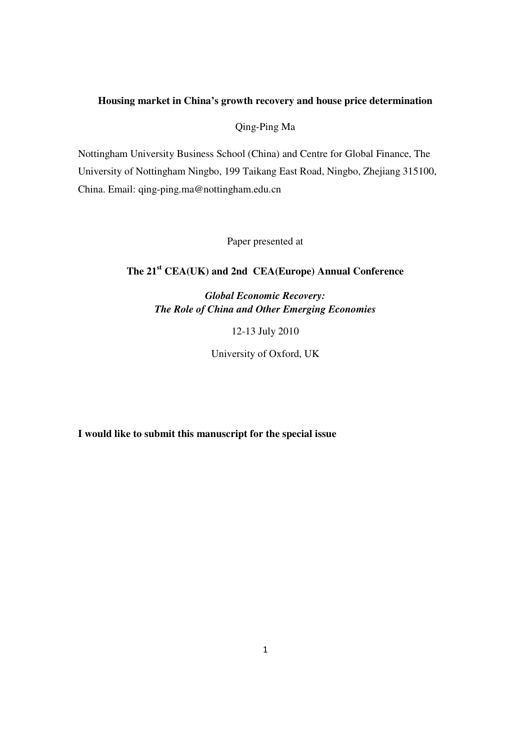# **Housing market in China's growth recovery and house price determination**

Qing-Ping Ma

Nottingham University Business School (China) and Centre for Global Finance, The University of Nottingham Ningbo, 199 Taikang East Road, Ningbo, Zhejiang 315100, China. Email: qing-ping.ma@nottingham.edu.cn

Paper presented at

# **The 21st CEA(UK) and 2nd CEA(Europe) Annual Conference**

*Global Economic Recovery: The Role of China and Other Emerging Economies* 

12-13 July 2010

University of Oxford, UK

**I would like to submit this manuscript for the special issue**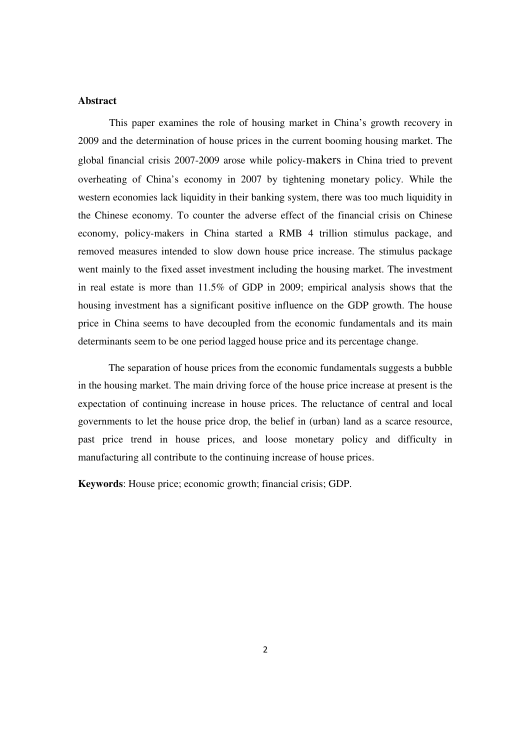# **Abstract**

This paper examines the role of housing market in China's growth recovery in 2009 and the determination of house prices in the current booming housing market. The global financial crisis 2007-2009 arose while policy-makers in China tried to prevent overheating of China's economy in 2007 by tightening monetary policy. While the western economies lack liquidity in their banking system, there was too much liquidity in the Chinese economy. To counter the adverse effect of the financial crisis on Chinese economy, policy-makers in China started a RMB 4 trillion stimulus package, and removed measures intended to slow down house price increase. The stimulus package went mainly to the fixed asset investment including the housing market. The investment in real estate is more than 11.5% of GDP in 2009; empirical analysis shows that the housing investment has a significant positive influence on the GDP growth. The house price in China seems to have decoupled from the economic fundamentals and its main determinants seem to be one period lagged house price and its percentage change.

The separation of house prices from the economic fundamentals suggests a bubble in the housing market. The main driving force of the house price increase at present is the expectation of continuing increase in house prices. The reluctance of central and local governments to let the house price drop, the belief in (urban) land as a scarce resource, past price trend in house prices, and loose monetary policy and difficulty in manufacturing all contribute to the continuing increase of house prices.

**Keywords**: House price; economic growth; financial crisis; GDP.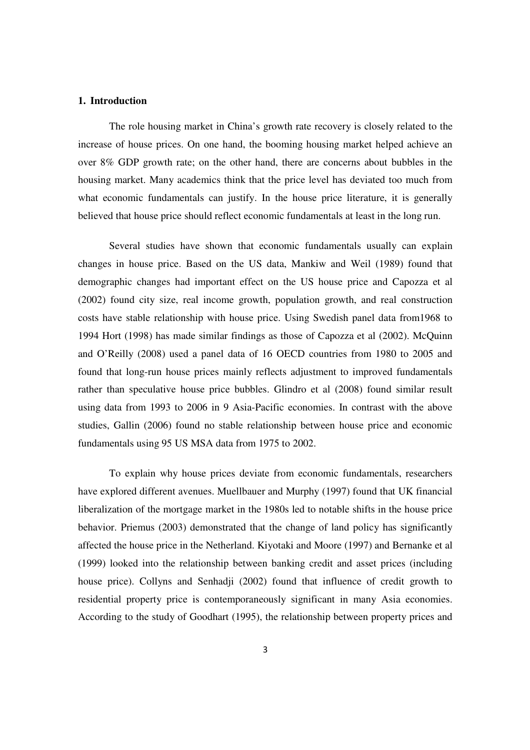# **1. Introduction**

The role housing market in China's growth rate recovery is closely related to the increase of house prices. On one hand, the booming housing market helped achieve an over 8% GDP growth rate; on the other hand, there are concerns about bubbles in the housing market. Many academics think that the price level has deviated too much from what economic fundamentals can justify. In the house price literature, it is generally believed that house price should reflect economic fundamentals at least in the long run.

Several studies have shown that economic fundamentals usually can explain changes in house price. Based on the US data, Mankiw and Weil (1989) found that demographic changes had important effect on the US house price and Capozza et al (2002) found city size, real income growth, population growth, and real construction costs have stable relationship with house price. Using Swedish panel data from1968 to 1994 Hort (1998) has made similar findings as those of Capozza et al (2002). McQuinn and O'Reilly (2008) used a panel data of 16 OECD countries from 1980 to 2005 and found that long-run house prices mainly reflects adjustment to improved fundamentals rather than speculative house price bubbles. Glindro et al (2008) found similar result using data from 1993 to 2006 in 9 Asia-Pacific economies. In contrast with the above studies, Gallin (2006) found no stable relationship between house price and economic fundamentals using 95 US MSA data from 1975 to 2002.

To explain why house prices deviate from economic fundamentals, researchers have explored different avenues. Muellbauer and Murphy (1997) found that UK financial liberalization of the mortgage market in the 1980s led to notable shifts in the house price behavior. Priemus (2003) demonstrated that the change of land policy has significantly affected the house price in the Netherland. Kiyotaki and Moore (1997) and Bernanke et al (1999) looked into the relationship between banking credit and asset prices (including house price). Collyns and Senhadji (2002) found that influence of credit growth to residential property price is contemporaneously significant in many Asia economies. According to the study of Goodhart (1995), the relationship between property prices and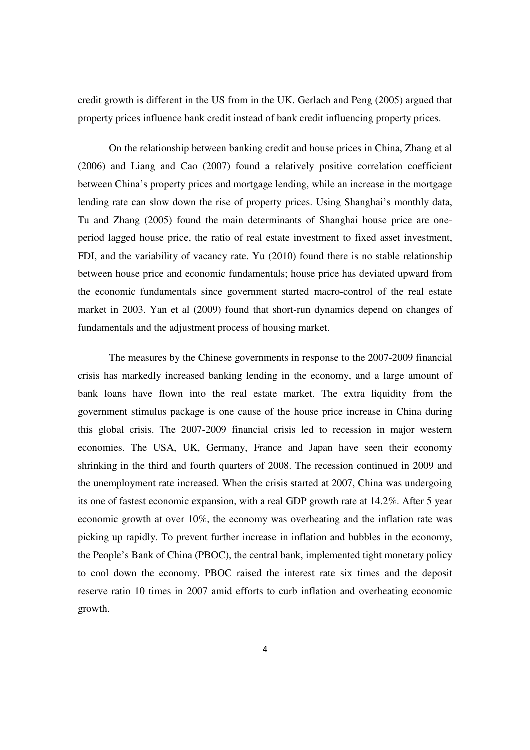credit growth is different in the US from in the UK. Gerlach and Peng (2005) argued that property prices influence bank credit instead of bank credit influencing property prices.

On the relationship between banking credit and house prices in China, Zhang et al (2006) and Liang and Cao (2007) found a relatively positive correlation coefficient between China's property prices and mortgage lending, while an increase in the mortgage lending rate can slow down the rise of property prices. Using Shanghai's monthly data, Tu and Zhang (2005) found the main determinants of Shanghai house price are oneperiod lagged house price, the ratio of real estate investment to fixed asset investment, FDI, and the variability of vacancy rate. Yu (2010) found there is no stable relationship between house price and economic fundamentals; house price has deviated upward from the economic fundamentals since government started macro-control of the real estate market in 2003. Yan et al (2009) found that short-run dynamics depend on changes of fundamentals and the adjustment process of housing market.

The measures by the Chinese governments in response to the 2007-2009 financial crisis has markedly increased banking lending in the economy, and a large amount of bank loans have flown into the real estate market. The extra liquidity from the government stimulus package is one cause of the house price increase in China during this global crisis. The 2007-2009 financial crisis led to recession in major western economies. The USA, UK, Germany, France and Japan have seen their economy shrinking in the third and fourth quarters of 2008. The recession continued in 2009 and the unemployment rate increased. When the crisis started at 2007, China was undergoing its one of fastest economic expansion, with a real GDP growth rate at 14.2%. After 5 year economic growth at over 10%, the economy was overheating and the inflation rate was picking up rapidly. To prevent further increase in inflation and bubbles in the economy, the People's Bank of China (PBOC), the central bank, implemented tight monetary policy to cool down the economy. PBOC raised the interest rate six times and the deposit reserve ratio 10 times in 2007 amid efforts to curb inflation and overheating economic growth.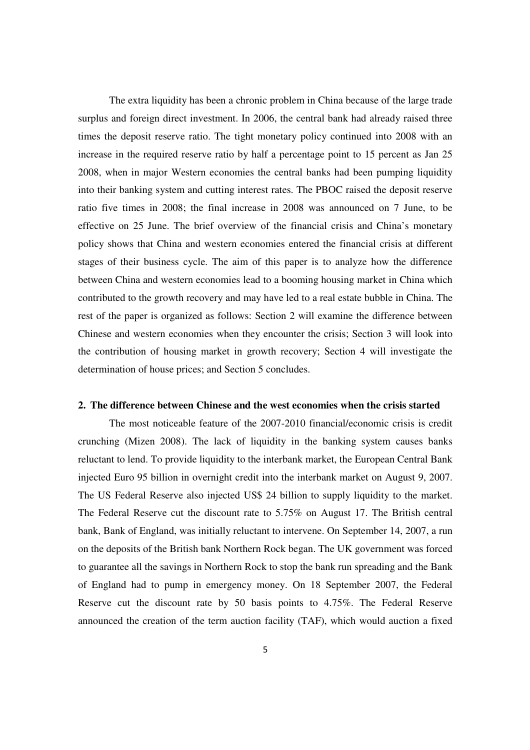The extra liquidity has been a chronic problem in China because of the large trade surplus and foreign direct investment. In 2006, the central bank had already raised three times the deposit reserve ratio. The tight monetary policy continued into 2008 with an increase in the required reserve ratio by half a percentage point to 15 percent as Jan 25 2008, when in major Western economies the central banks had been pumping liquidity into their banking system and cutting interest rates. The PBOC raised the deposit reserve ratio five times in 2008; the final increase in 2008 was announced on 7 June, to be effective on 25 June. The brief overview of the financial crisis and China's monetary policy shows that China and western economies entered the financial crisis at different stages of their business cycle. The aim of this paper is to analyze how the difference between China and western economies lead to a booming housing market in China which contributed to the growth recovery and may have led to a real estate bubble in China. The rest of the paper is organized as follows: Section 2 will examine the difference between Chinese and western economies when they encounter the crisis; Section 3 will look into the contribution of housing market in growth recovery; Section 4 will investigate the determination of house prices; and Section 5 concludes.

#### **2. The difference between Chinese and the west economies when the crisis started**

The most noticeable feature of the 2007-2010 financial/economic crisis is credit crunching (Mizen 2008). The lack of liquidity in the banking system causes banks reluctant to lend. To provide liquidity to the interbank market, the European Central Bank injected Euro 95 billion in overnight credit into the interbank market on August 9, 2007. The US Federal Reserve also injected US\$ 24 billion to supply liquidity to the market. The Federal Reserve cut the discount rate to 5.75% on August 17. The British central bank, Bank of England, was initially reluctant to intervene. On September 14, 2007, a run on the deposits of the British bank Northern Rock began. The UK government was forced to guarantee all the savings in Northern Rock to stop the bank run spreading and the Bank of England had to pump in emergency money. On 18 September 2007, the Federal Reserve cut the discount rate by 50 basis points to 4.75%. The Federal Reserve announced the creation of the term auction facility (TAF), which would auction a fixed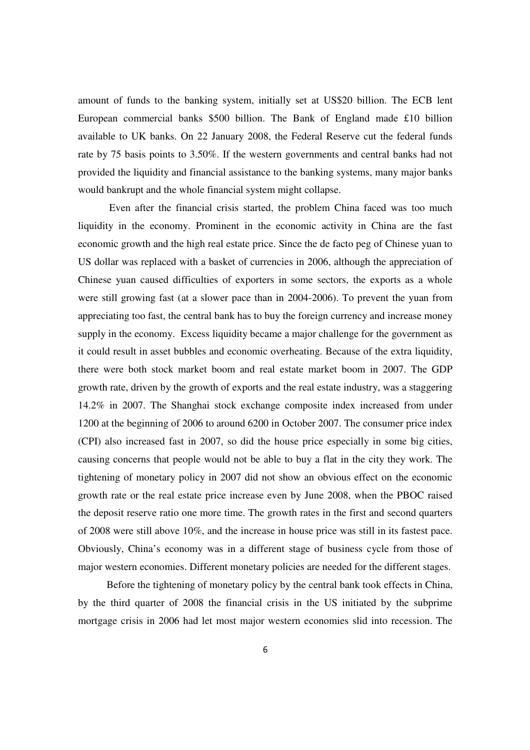amount of funds to the banking system, initially set at US\$20 billion. The ECB lent European commercial banks \$500 billion. The Bank of England made £10 billion available to UK banks. On 22 January 2008, the Federal Reserve cut the federal funds rate by 75 basis points to 3.50%. If the western governments and central banks had not provided the liquidity and financial assistance to the banking systems, many major banks would bankrupt and the whole financial system might collapse.

 Even after the financial crisis started, the problem China faced was too much liquidity in the economy. Prominent in the economic activity in China are the fast economic growth and the high real estate price. Since the de facto peg of Chinese yuan to US dollar was replaced with a basket of currencies in 2006, although the appreciation of Chinese yuan caused difficulties of exporters in some sectors, the exports as a whole were still growing fast (at a slower pace than in 2004-2006). To prevent the yuan from appreciating too fast, the central bank has to buy the foreign currency and increase money supply in the economy. Excess liquidity became a major challenge for the government as it could result in asset bubbles and economic overheating. Because of the extra liquidity, there were both stock market boom and real estate market boom in 2007. The GDP growth rate, driven by the growth of exports and the real estate industry, was a staggering 14.2% in 2007. The Shanghai stock exchange composite index increased from under 1200 at the beginning of 2006 to around 6200 in October 2007. The consumer price index (CPI) also increased fast in 2007, so did the house price especially in some big cities, causing concerns that people would not be able to buy a flat in the city they work. The tightening of monetary policy in 2007 did not show an obvious effect on the economic growth rate or the real estate price increase even by June 2008, when the PBOC raised the deposit reserve ratio one more time. The growth rates in the first and second quarters of 2008 were still above 10%, and the increase in house price was still in its fastest pace. Obviously, China's economy was in a different stage of business cycle from those of major western economies. Different monetary policies are needed for the different stages.

 Before the tightening of monetary policy by the central bank took effects in China, by the third quarter of 2008 the financial crisis in the US initiated by the subprime mortgage crisis in 2006 had let most major western economies slid into recession. The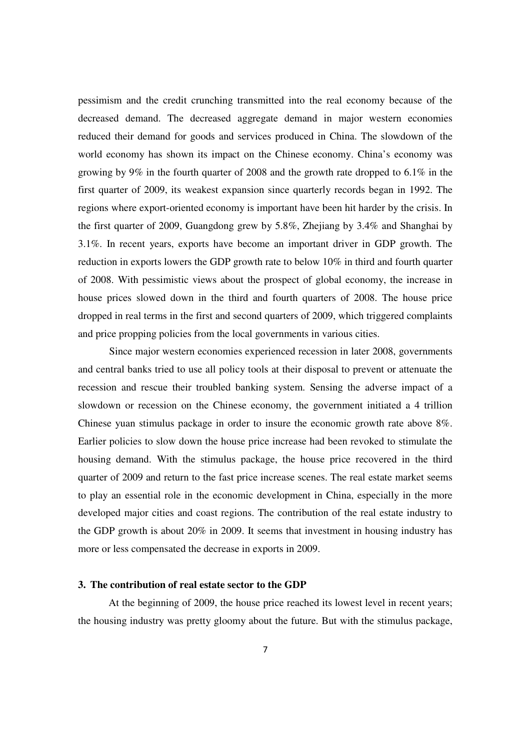pessimism and the credit crunching transmitted into the real economy because of the decreased demand. The decreased aggregate demand in major western economies reduced their demand for goods and services produced in China. The slowdown of the world economy has shown its impact on the Chinese economy. China's economy was growing by 9% in the fourth quarter of 2008 and the growth rate dropped to 6.1% in the first quarter of 2009, its weakest expansion since quarterly records began in 1992. The regions where export-oriented economy is important have been hit harder by the crisis. In the first quarter of 2009, Guangdong grew by 5.8%, Zhejiang by 3.4% and Shanghai by 3.1%. In recent years, exports have become an important driver in GDP growth. The reduction in exports lowers the GDP growth rate to below 10% in third and fourth quarter of 2008. With pessimistic views about the prospect of global economy, the increase in house prices slowed down in the third and fourth quarters of 2008. The house price dropped in real terms in the first and second quarters of 2009, which triggered complaints and price propping policies from the local governments in various cities.

 Since major western economies experienced recession in later 2008, governments and central banks tried to use all policy tools at their disposal to prevent or attenuate the recession and rescue their troubled banking system. Sensing the adverse impact of a slowdown or recession on the Chinese economy, the government initiated a 4 trillion Chinese yuan stimulus package in order to insure the economic growth rate above 8%. Earlier policies to slow down the house price increase had been revoked to stimulate the housing demand. With the stimulus package, the house price recovered in the third quarter of 2009 and return to the fast price increase scenes. The real estate market seems to play an essential role in the economic development in China, especially in the more developed major cities and coast regions. The contribution of the real estate industry to the GDP growth is about 20% in 2009. It seems that investment in housing industry has more or less compensated the decrease in exports in 2009.

## **3. The contribution of real estate sector to the GDP**

At the beginning of 2009, the house price reached its lowest level in recent years; the housing industry was pretty gloomy about the future. But with the stimulus package,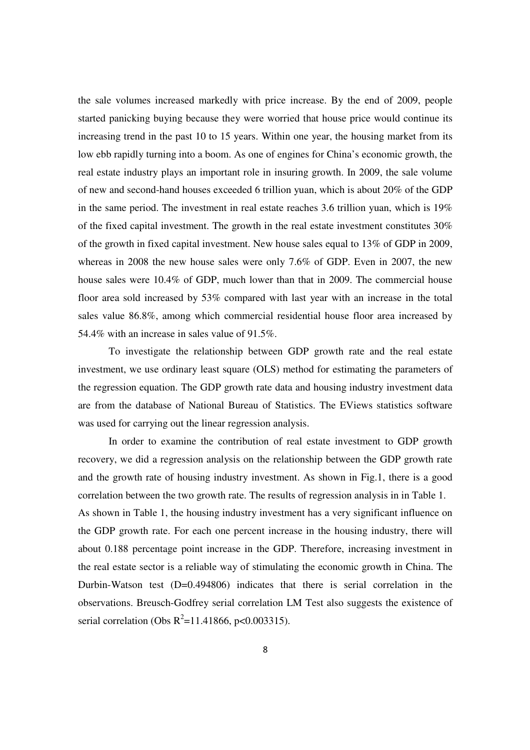the sale volumes increased markedly with price increase. By the end of 2009, people started panicking buying because they were worried that house price would continue its increasing trend in the past 10 to 15 years. Within one year, the housing market from its low ebb rapidly turning into a boom. As one of engines for China's economic growth, the real estate industry plays an important role in insuring growth. In 2009, the sale volume of new and second-hand houses exceeded 6 trillion yuan, which is about 20% of the GDP in the same period. The investment in real estate reaches 3.6 trillion yuan, which is 19% of the fixed capital investment. The growth in the real estate investment constitutes 30% of the growth in fixed capital investment. New house sales equal to 13% of GDP in 2009, whereas in 2008 the new house sales were only 7.6% of GDP. Even in 2007, the new house sales were 10.4% of GDP, much lower than that in 2009. The commercial house floor area sold increased by 53% compared with last year with an increase in the total sales value 86.8%, among which commercial residential house floor area increased by 54.4% with an increase in sales value of 91.5%.

To investigate the relationship between GDP growth rate and the real estate investment, we use ordinary least square (OLS) method for estimating the parameters of the regression equation. The GDP growth rate data and housing industry investment data are from the database of National Bureau of Statistics. The EViews statistics software was used for carrying out the linear regression analysis.

In order to examine the contribution of real estate investment to GDP growth recovery, we did a regression analysis on the relationship between the GDP growth rate and the growth rate of housing industry investment. As shown in Fig.1, there is a good correlation between the two growth rate. The results of regression analysis in in Table 1. As shown in Table 1, the housing industry investment has a very significant influence on the GDP growth rate. For each one percent increase in the housing industry, there will about 0.188 percentage point increase in the GDP. Therefore, increasing investment in the real estate sector is a reliable way of stimulating the economic growth in China. The Durbin-Watson test (D=0.494806) indicates that there is serial correlation in the observations. Breusch-Godfrey serial correlation LM Test also suggests the existence of serial correlation (Obs  $R^2$ =11.41866, p<0.003315).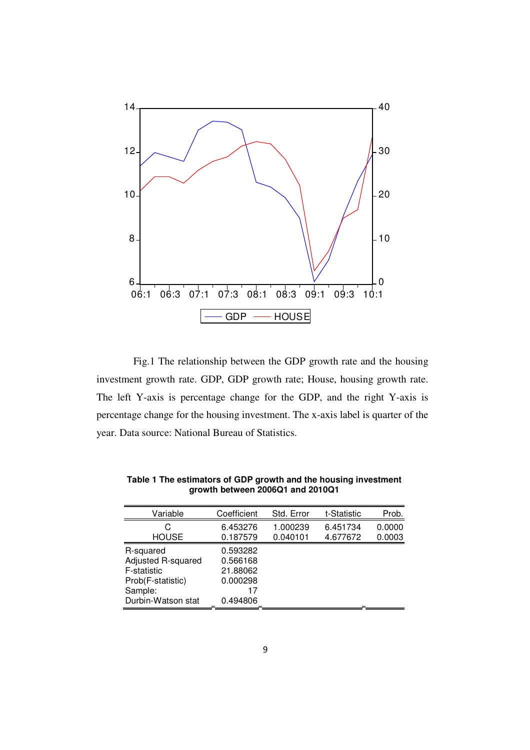

Fig.1 The relationship between the GDP growth rate and the housing investment growth rate. GDP, GDP growth rate; House, housing growth rate. The left Y-axis is percentage change for the GDP, and the right Y-axis is percentage change for the housing investment. The x-axis label is quarter of the year. Data source: National Bureau of Statistics.

| Variable           | Coefficient | Std. Error | t-Statistic | Prob.  |
|--------------------|-------------|------------|-------------|--------|
| C                  | 6.453276    | 1.000239   | 6.451734    | 0.0000 |
| <b>HOUSE</b>       | 0.187579    | 0.040101   | 4.677672    | 0.0003 |
| R-squared          | 0.593282    |            |             |        |
| Adjusted R-squared | 0.566168    |            |             |        |
| F-statistic        | 21.88062    |            |             |        |
| Prob(F-statistic)  | 0.000298    |            |             |        |
| Sample:            | 17          |            |             |        |
| Durbin-Watson stat | 0.494806    |            |             |        |

**Table 1 The estimators of GDP growth and the housing investment growth between 2006Q1 and 2010Q1**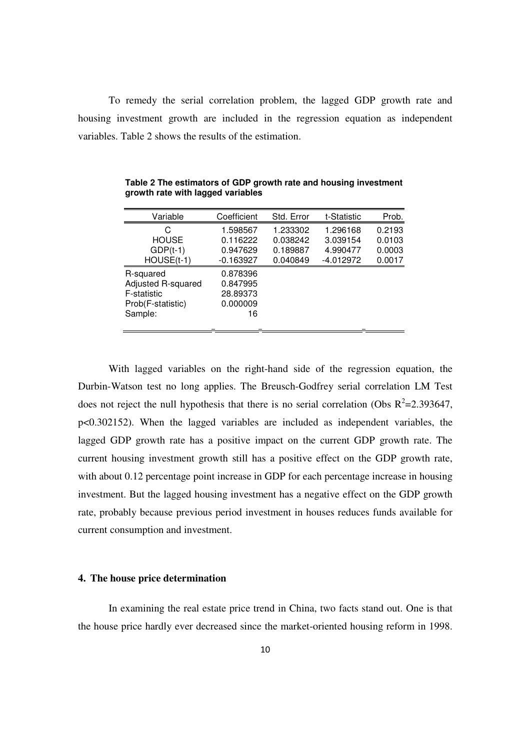To remedy the serial correlation problem, the lagged GDP growth rate and housing investment growth are included in the regression equation as independent variables. Table 2 shows the results of the estimation.

| Variable           | Coefficient | Std. Error | t-Statistic | Prob.  |
|--------------------|-------------|------------|-------------|--------|
| C                  | 1.598567    | 1.233302   | 1.296168    | 0.2193 |
| <b>HOUSE</b>       | 0.116222    | 0.038242   | 3.039154    | 0.0103 |
| $GDP(t-1)$         | 0.947629    | 0.189887   | 4.990477    | 0.0003 |
| HOUSE(t-1)         | $-0.163927$ | 0.040849   | $-4.012972$ | 0.0017 |
| R-squared          | 0.878396    |            |             |        |
| Adjusted R-squared | 0.847995    |            |             |        |
| F-statistic        | 28.89373    |            |             |        |
| Prob(F-statistic)  | 0.000009    |            |             |        |
| Sample:            | 16          |            |             |        |
|                    |             |            |             |        |

**Table 2 The estimators of GDP growth rate and housing investment growth rate with lagged variables** 

With lagged variables on the right-hand side of the regression equation, the Durbin-Watson test no long applies. The Breusch-Godfrey serial correlation LM Test does not reject the null hypothesis that there is no serial correlation (Obs  $R^2$ =2.393647, p<0.302152). When the lagged variables are included as independent variables, the lagged GDP growth rate has a positive impact on the current GDP growth rate. The current housing investment growth still has a positive effect on the GDP growth rate, with about 0.12 percentage point increase in GDP for each percentage increase in housing investment. But the lagged housing investment has a negative effect on the GDP growth rate, probably because previous period investment in houses reduces funds available for current consumption and investment.

## **4. The house price determination**

In examining the real estate price trend in China, two facts stand out. One is that the house price hardly ever decreased since the market-oriented housing reform in 1998.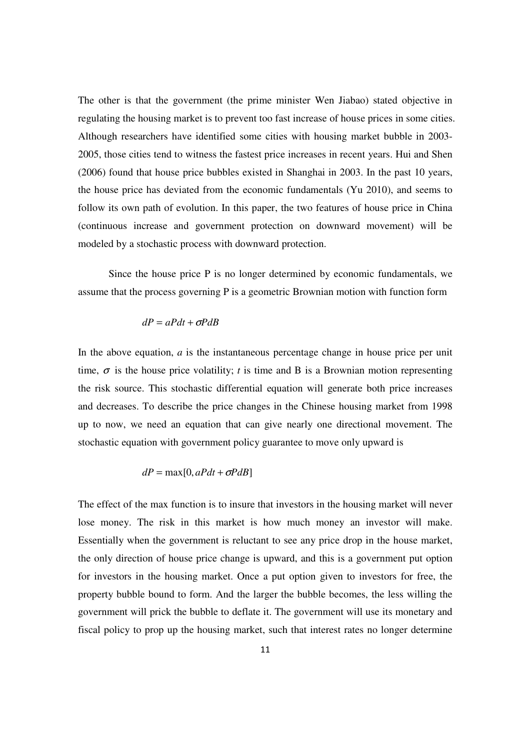The other is that the government (the prime minister Wen Jiabao) stated objective in regulating the housing market is to prevent too fast increase of house prices in some cities. Although researchers have identified some cities with housing market bubble in 2003- 2005, those cities tend to witness the fastest price increases in recent years. Hui and Shen (2006) found that house price bubbles existed in Shanghai in 2003. In the past 10 years, the house price has deviated from the economic fundamentals (Yu 2010), and seems to follow its own path of evolution. In this paper, the two features of house price in China (continuous increase and government protection on downward movement) will be modeled by a stochastic process with downward protection.

Since the house price P is no longer determined by economic fundamentals, we assume that the process governing P is a geometric Brownian motion with function form

$$
dP = aPdt + \sigma PdB
$$

In the above equation, *a* is the instantaneous percentage change in house price per unit time,  $\sigma$  is the house price volatility; *t* is time and B is a Brownian motion representing the risk source. This stochastic differential equation will generate both price increases and decreases. To describe the price changes in the Chinese housing market from 1998 up to now, we need an equation that can give nearly one directional movement. The stochastic equation with government policy guarantee to move only upward is

$$
dP = \max[0, aPdt + \sigma PdB]
$$

The effect of the max function is to insure that investors in the housing market will never lose money. The risk in this market is how much money an investor will make. Essentially when the government is reluctant to see any price drop in the house market, the only direction of house price change is upward, and this is a government put option for investors in the housing market. Once a put option given to investors for free, the property bubble bound to form. And the larger the bubble becomes, the less willing the government will prick the bubble to deflate it. The government will use its monetary and fiscal policy to prop up the housing market, such that interest rates no longer determine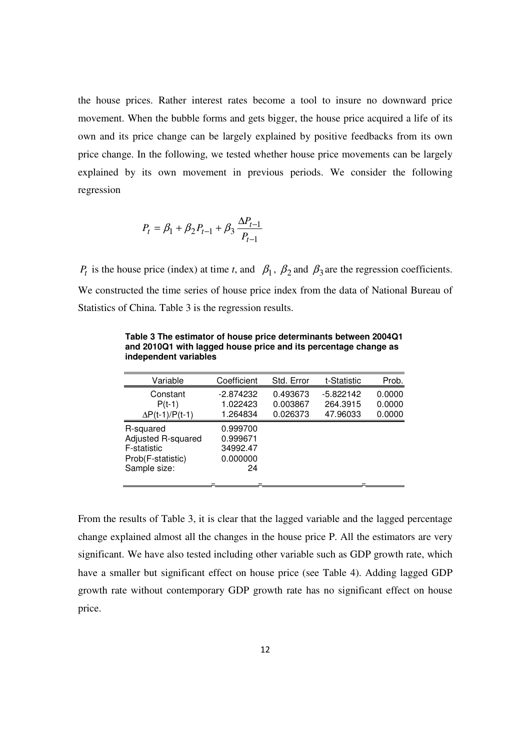the house prices. Rather interest rates become a tool to insure no downward price movement. When the bubble forms and gets bigger, the house price acquired a life of its own and its price change can be largely explained by positive feedbacks from its own price change. In the following, we tested whether house price movements can be largely explained by its own movement in previous periods. We consider the following regression

$$
P_t = \beta_1 + \beta_2 P_{t-1} + \beta_3 \frac{\Delta P_{t-1}}{P_{t-1}}
$$

*P<sub>t</sub>* is the house price (index) at time *t*, and  $\beta_1$ ,  $\beta_2$  and  $\beta_3$  are the regression coefficients. We constructed the time series of house price index from the data of National Bureau of Statistics of China. Table 3 is the regression results.

| Variable               | Coefficient | Std. Error | t-Statistic | Prob.  |
|------------------------|-------------|------------|-------------|--------|
| Constant               | $-2.874232$ | 0.493673   | $-5.822142$ | 0.0000 |
| $P(t-1)$               | 1.022423    | 0.003867   | 264.3915    | 0.0000 |
| $\Delta P(t-1)/P(t-1)$ | 1.264834    | 0.026373   | 47.96033    | 0.0000 |
| R-squared              | 0.999700    |            |             |        |
| Adjusted R-squared     | 0.999671    |            |             |        |
| F-statistic            | 34992.47    |            |             |        |
| Prob(F-statistic)      | 0.000000    |            |             |        |
| Sample size:           | 24          |            |             |        |
|                        |             |            |             |        |

**Table 3 The estimator of house price determinants between 2004Q1 and 2010Q1 with lagged house price and its percentage change as independent variables** 

From the results of Table 3, it is clear that the lagged variable and the lagged percentage change explained almost all the changes in the house price P. All the estimators are very significant. We have also tested including other variable such as GDP growth rate, which have a smaller but significant effect on house price (see Table 4). Adding lagged GDP growth rate without contemporary GDP growth rate has no significant effect on house price.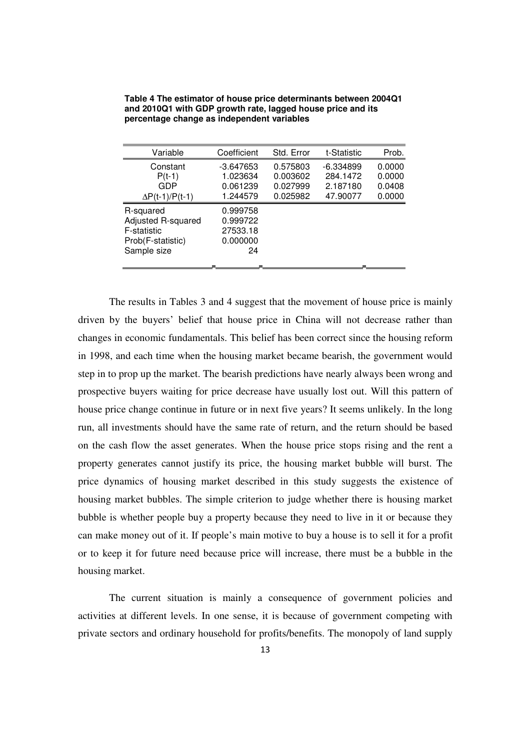| Variable               | Coefficient | Std. Error | t-Statistic | Prob.  |
|------------------------|-------------|------------|-------------|--------|
| Constant               | $-3.647653$ | 0.575803   | $-6.334899$ | 0.0000 |
| $P(t-1)$               | 1.023634    | 0.003602   | 284.1472    | 0.0000 |
| GDP                    | 0.061239    | 0.027999   | 2.187180    | 0.0408 |
| $\Delta P(t-1)/P(t-1)$ | 1.244579    | 0.025982   | 47.90077    | 0.0000 |
| R-squared              | 0.999758    |            |             |        |
| Adjusted R-squared     | 0.999722    |            |             |        |
| F-statistic            | 27533.18    |            |             |        |
| Prob(F-statistic)      | 0.000000    |            |             |        |
| Sample size            | 24          |            |             |        |
|                        |             |            |             |        |

**Table 4 The estimator of house price determinants between 2004Q1 and 2010Q1 with GDP growth rate, lagged house price and its percentage change as independent variables**

The results in Tables 3 and 4 suggest that the movement of house price is mainly driven by the buyers' belief that house price in China will not decrease rather than changes in economic fundamentals. This belief has been correct since the housing reform in 1998, and each time when the housing market became bearish, the government would step in to prop up the market. The bearish predictions have nearly always been wrong and prospective buyers waiting for price decrease have usually lost out. Will this pattern of house price change continue in future or in next five years? It seems unlikely. In the long run, all investments should have the same rate of return, and the return should be based on the cash flow the asset generates. When the house price stops rising and the rent a property generates cannot justify its price, the housing market bubble will burst. The price dynamics of housing market described in this study suggests the existence of housing market bubbles. The simple criterion to judge whether there is housing market bubble is whether people buy a property because they need to live in it or because they can make money out of it. If people's main motive to buy a house is to sell it for a profit or to keep it for future need because price will increase, there must be a bubble in the housing market.

The current situation is mainly a consequence of government policies and activities at different levels. In one sense, it is because of government competing with private sectors and ordinary household for profits/benefits. The monopoly of land supply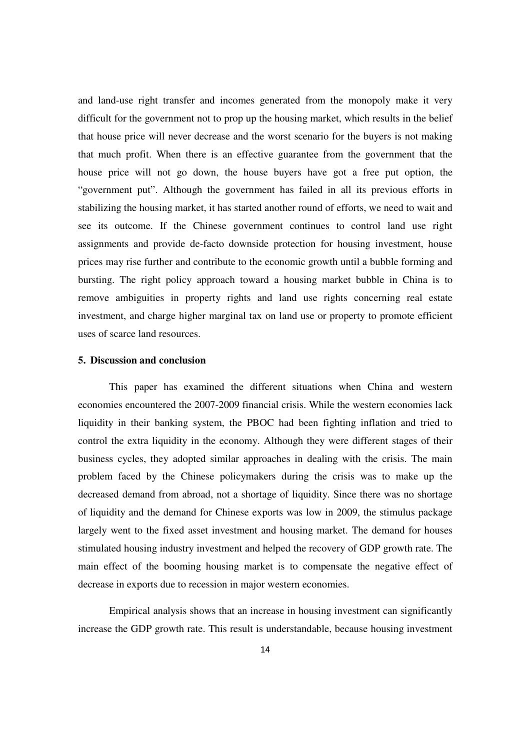and land-use right transfer and incomes generated from the monopoly make it very difficult for the government not to prop up the housing market, which results in the belief that house price will never decrease and the worst scenario for the buyers is not making that much profit. When there is an effective guarantee from the government that the house price will not go down, the house buyers have got a free put option, the "government put". Although the government has failed in all its previous efforts in stabilizing the housing market, it has started another round of efforts, we need to wait and see its outcome. If the Chinese government continues to control land use right assignments and provide de-facto downside protection for housing investment, house prices may rise further and contribute to the economic growth until a bubble forming and bursting. The right policy approach toward a housing market bubble in China is to remove ambiguities in property rights and land use rights concerning real estate investment, and charge higher marginal tax on land use or property to promote efficient uses of scarce land resources.

## **5. Discussion and conclusion**

This paper has examined the different situations when China and western economies encountered the 2007-2009 financial crisis. While the western economies lack liquidity in their banking system, the PBOC had been fighting inflation and tried to control the extra liquidity in the economy. Although they were different stages of their business cycles, they adopted similar approaches in dealing with the crisis. The main problem faced by the Chinese policymakers during the crisis was to make up the decreased demand from abroad, not a shortage of liquidity. Since there was no shortage of liquidity and the demand for Chinese exports was low in 2009, the stimulus package largely went to the fixed asset investment and housing market. The demand for houses stimulated housing industry investment and helped the recovery of GDP growth rate. The main effect of the booming housing market is to compensate the negative effect of decrease in exports due to recession in major western economies.

Empirical analysis shows that an increase in housing investment can significantly increase the GDP growth rate. This result is understandable, because housing investment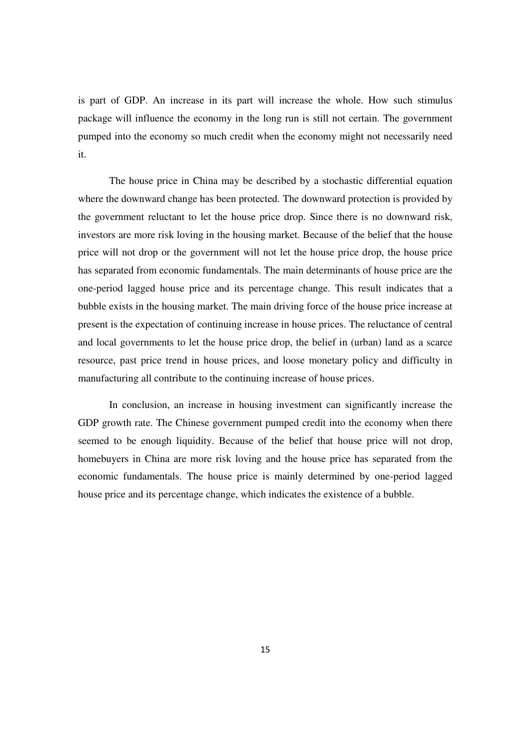is part of GDP. An increase in its part will increase the whole. How such stimulus package will influence the economy in the long run is still not certain. The government pumped into the economy so much credit when the economy might not necessarily need it.

The house price in China may be described by a stochastic differential equation where the downward change has been protected. The downward protection is provided by the government reluctant to let the house price drop. Since there is no downward risk, investors are more risk loving in the housing market. Because of the belief that the house price will not drop or the government will not let the house price drop, the house price has separated from economic fundamentals. The main determinants of house price are the one-period lagged house price and its percentage change. This result indicates that a bubble exists in the housing market. The main driving force of the house price increase at present is the expectation of continuing increase in house prices. The reluctance of central and local governments to let the house price drop, the belief in (urban) land as a scarce resource, past price trend in house prices, and loose monetary policy and difficulty in manufacturing all contribute to the continuing increase of house prices.

In conclusion, an increase in housing investment can significantly increase the GDP growth rate. The Chinese government pumped credit into the economy when there seemed to be enough liquidity. Because of the belief that house price will not drop, homebuyers in China are more risk loving and the house price has separated from the economic fundamentals. The house price is mainly determined by one-period lagged house price and its percentage change, which indicates the existence of a bubble.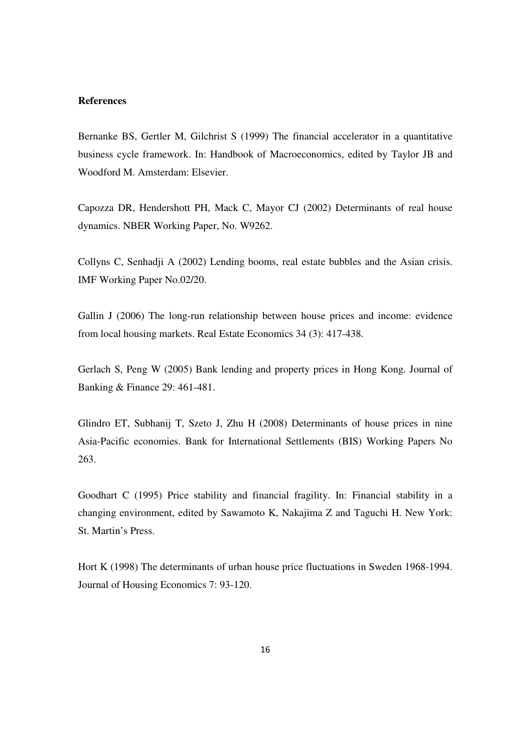# **References**

Bernanke BS, Gertler M, Gilchrist S (1999) The financial accelerator in a quantitative business cycle framework. In: Handbook of Macroeconomics, edited by Taylor JB and Woodford M. Amsterdam: Elsevier.

Capozza DR, Hendershott PH, Mack C, Mayor CJ (2002) Determinants of real house dynamics. NBER Working Paper, No. W9262.

Collyns C, Senhadji A (2002) Lending booms, real estate bubbles and the Asian crisis. IMF Working Paper No.02/20.

Gallin J (2006) The long-run relationship between house prices and income: evidence from local housing markets. Real Estate Economics 34 (3): 417-438.

Gerlach S, Peng W (2005) Bank lending and property prices in Hong Kong. Journal of Banking & Finance 29: 461-481.

Glindro ET, Subhanij T, Szeto J, Zhu H (2008) Determinants of house prices in nine Asia-Pacific economies. Bank for International Settlements (BIS) Working Papers No 263.

Goodhart C (1995) Price stability and financial fragility. In: Financial stability in a changing environment, edited by Sawamoto K, Nakajima Z and Taguchi H. New York: St. Martin's Press.

Hort K (1998) The determinants of urban house price fluctuations in Sweden 1968-1994. Journal of Housing Economics 7: 93-120.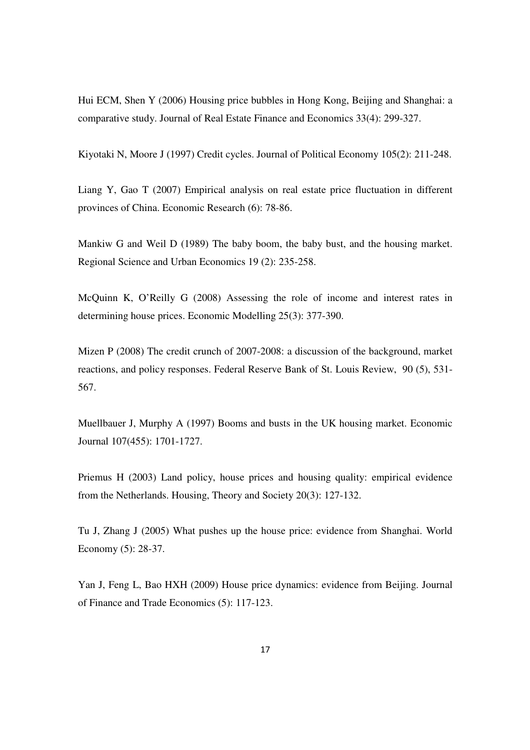Hui ECM, Shen Y (2006) Housing price bubbles in Hong Kong, Beijing and Shanghai: a comparative study. Journal of Real Estate Finance and Economics 33(4): 299-327.

Kiyotaki N, Moore J (1997) Credit cycles. Journal of Political Economy 105(2): 211-248.

Liang Y, Gao T (2007) Empirical analysis on real estate price fluctuation in different provinces of China. Economic Research (6): 78-86.

Mankiw G and Weil D (1989) The baby boom, the baby bust, and the housing market. Regional Science and Urban Economics 19 (2): 235-258.

McQuinn K, O'Reilly G (2008) Assessing the role of income and interest rates in determining house prices. Economic Modelling 25(3): 377-390.

Mizen P (2008) The credit crunch of 2007-2008: a discussion of the background, market reactions, and policy responses. Federal Reserve Bank of St. Louis Review, 90 (5), 531- 567.

Muellbauer J, Murphy A (1997) Booms and busts in the UK housing market. Economic Journal 107(455): 1701-1727.

Priemus H (2003) Land policy, house prices and housing quality: empirical evidence from the Netherlands. Housing, Theory and Society 20(3): 127-132.

Tu J, Zhang J (2005) What pushes up the house price: evidence from Shanghai. World Economy (5): 28-37.

Yan J, Feng L, Bao HXH (2009) House price dynamics: evidence from Beijing. Journal of Finance and Trade Economics (5): 117-123.